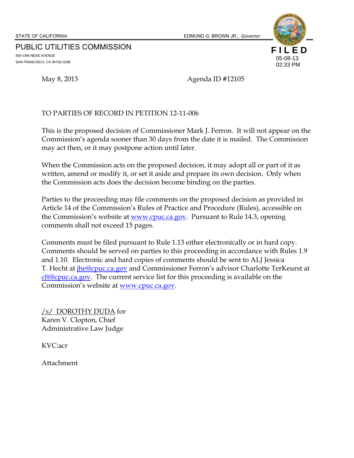STATE OF CALIFORNIA EDMUND G. BROWN JR., *Governor*

PUBLIC UTILITIES COMMISSION 505 VAN NESS AVENUE SAN FRANCISCO, CA 94102-3298





May 8, 2013 **Agenda ID #12105** 

#### TO PARTIES OF RECORD IN PETITION 12-11-006

This is the proposed decision of Commissioner Mark J. Ferron. It will not appear on the Commission's agenda sooner than 30 days from the date it is mailed. The Commission may act then, or it may postpone action until later.

When the Commission acts on the proposed decision, it may adopt all or part of it as written, amend or modify it, or set it aside and prepare its own decision. Only when the Commission acts does the decision become binding on the parties.

Parties to the proceeding may file comments on the proposed decision as provided in Article 14 of the Commission's Rules of Practice and Procedure (Rules), accessible on the Commission's website at www.cpuc.ca.gov. Pursuant to Rule 14.3, opening comments shall not exceed 15 pages.

Comments must be filed pursuant to Rule 1.13 either electronically or in hard copy. Comments should be served on parties to this proceeding in accordance with Rules 1.9 and 1.10. Electronic and hard copies of comments should be sent to ALJ Jessica T. Hecht at *jhe@cpuc.ca.gov* and Commissioner Ferron's advisor Charlotte TerKeurst at cft@cpuc.ca.gov. The current service list for this proceeding is available on the Commission's website at **www.cpuc.ca.gov**.

/s/ DOROTHY DUDA for Karen V. Clopton, Chief Administrative Law Judge

KVC:acr

Attachment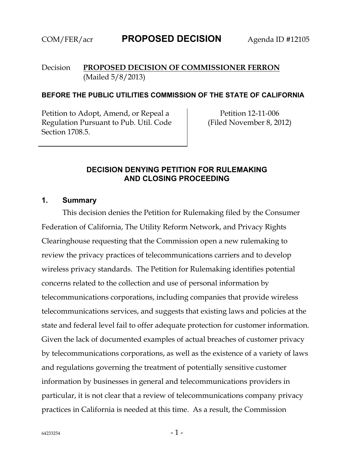#### Decision **PROPOSED DECISION OF COMMISSIONER FERRON**  (Mailed 5/8/2013)

#### **BEFORE THE PUBLIC UTILITIES COMMISSION OF THE STATE OF CALIFORNIA**

Petition to Adopt, Amend, or Repeal a Regulation Pursuant to Pub. Util. Code Section 1708.5.

Petition 12-11-006 (Filed November 8, 2012)

#### **DECISION DENYING PETITION FOR RULEMAKING AND CLOSING PROCEEDING**

#### **1. Summary**

This decision denies the Petition for Rulemaking filed by the Consumer Federation of California, The Utility Reform Network, and Privacy Rights Clearinghouse requesting that the Commission open a new rulemaking to review the privacy practices of telecommunications carriers and to develop wireless privacy standards. The Petition for Rulemaking identifies potential concerns related to the collection and use of personal information by telecommunications corporations, including companies that provide wireless telecommunications services, and suggests that existing laws and policies at the state and federal level fail to offer adequate protection for customer information. Given the lack of documented examples of actual breaches of customer privacy by telecommunications corporations, as well as the existence of a variety of laws and regulations governing the treatment of potentially sensitive customer information by businesses in general and telecommunications providers in particular, it is not clear that a review of telecommunications company privacy practices in California is needed at this time. As a result, the Commission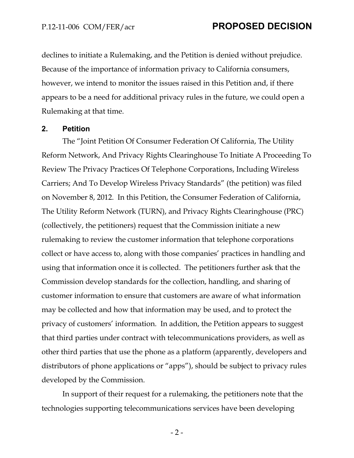declines to initiate a Rulemaking, and the Petition is denied without prejudice. Because of the importance of information privacy to California consumers, however, we intend to monitor the issues raised in this Petition and, if there appears to be a need for additional privacy rules in the future, we could open a Rulemaking at that time.

#### **2. Petition**

The "Joint Petition Of Consumer Federation Of California, The Utility Reform Network, And Privacy Rights Clearinghouse To Initiate A Proceeding To Review The Privacy Practices Of Telephone Corporations, Including Wireless Carriers; And To Develop Wireless Privacy Standards" (the petition) was filed on November 8, 2012. In this Petition, the Consumer Federation of California, The Utility Reform Network (TURN), and Privacy Rights Clearinghouse (PRC) (collectively, the petitioners) request that the Commission initiate a new rulemaking to review the customer information that telephone corporations collect or have access to, along with those companies' practices in handling and using that information once it is collected. The petitioners further ask that the Commission develop standards for the collection, handling, and sharing of customer information to ensure that customers are aware of what information may be collected and how that information may be used, and to protect the privacy of customers' information. In addition, the Petition appears to suggest that third parties under contract with telecommunications providers, as well as other third parties that use the phone as a platform (apparently, developers and distributors of phone applications or "apps"), should be subject to privacy rules developed by the Commission.

In support of their request for a rulemaking, the petitioners note that the technologies supporting telecommunications services have been developing

 $-2-$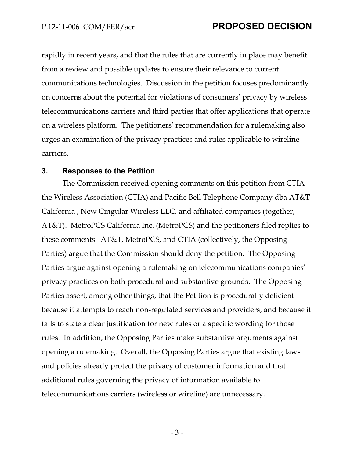rapidly in recent years, and that the rules that are currently in place may benefit from a review and possible updates to ensure their relevance to current communications technologies. Discussion in the petition focuses predominantly on concerns about the potential for violations of consumers' privacy by wireless telecommunications carriers and third parties that offer applications that operate on a wireless platform. The petitioners' recommendation for a rulemaking also urges an examination of the privacy practices and rules applicable to wireline carriers.

#### **3. Responses to the Petition**

The Commission received opening comments on this petition from CTIA – the Wireless Association (CTIA) and Pacific Bell Telephone Company dba AT&T California , New Cingular Wireless LLC. and affiliated companies (together, AT&T). MetroPCS California Inc. (MetroPCS) and the petitioners filed replies to these comments. AT&T, MetroPCS, and CTIA (collectively, the Opposing Parties) argue that the Commission should deny the petition. The Opposing Parties argue against opening a rulemaking on telecommunications companies' privacy practices on both procedural and substantive grounds. The Opposing Parties assert, among other things, that the Petition is procedurally deficient because it attempts to reach non-regulated services and providers, and because it fails to state a clear justification for new rules or a specific wording for those rules. In addition, the Opposing Parties make substantive arguments against opening a rulemaking. Overall, the Opposing Parties argue that existing laws and policies already protect the privacy of customer information and that additional rules governing the privacy of information available to telecommunications carriers (wireless or wireline) are unnecessary.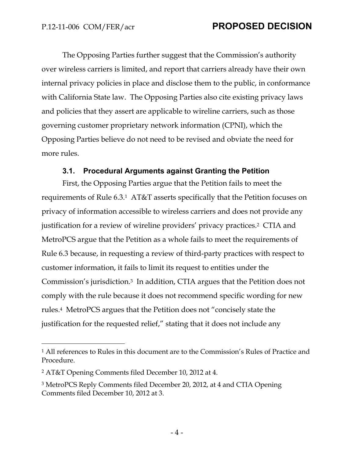The Opposing Parties further suggest that the Commission's authority over wireless carriers is limited, and report that carriers already have their own internal privacy policies in place and disclose them to the public, in conformance with California State law. The Opposing Parties also cite existing privacy laws and policies that they assert are applicable to wireline carriers, such as those governing customer proprietary network information (CPNI), which the Opposing Parties believe do not need to be revised and obviate the need for more rules.

#### **3.1. Procedural Arguments against Granting the Petition**

First, the Opposing Parties argue that the Petition fails to meet the requirements of Rule 6.3.1 AT&T asserts specifically that the Petition focuses on privacy of information accessible to wireless carriers and does not provide any justification for a review of wireline providers' privacy practices.2 CTIA and MetroPCS argue that the Petition as a whole fails to meet the requirements of Rule 6.3 because, in requesting a review of third-party practices with respect to customer information, it fails to limit its request to entities under the Commission's jurisdiction.3 In addition, CTIA argues that the Petition does not comply with the rule because it does not recommend specific wording for new rules.4 MetroPCS argues that the Petition does not "concisely state the justification for the requested relief," stating that it does not include any

-

<sup>1</sup> All references to Rules in this document are to the Commission's Rules of Practice and Procedure.

<sup>2</sup> AT&T Opening Comments filed December 10, 2012 at 4.

<sup>3</sup> MetroPCS Reply Comments filed December 20, 2012, at 4 and CTIA Opening Comments filed December 10, 2012 at 3.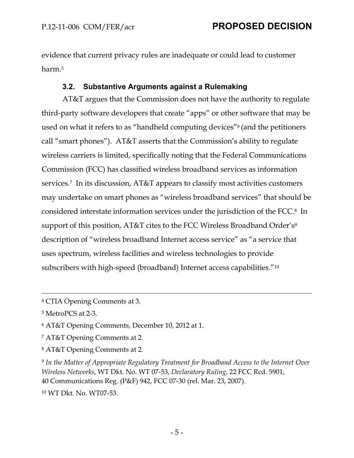evidence that current privacy rules are inadequate or could lead to customer harm.5

## **3.2. Substantive Arguments against a Rulemaking**

AT&T argues that the Commission does not have the authority to regulate third-party software developers that create "apps" or other software that may be used on what it refers to as "handheld computing devices"6 (and the petitioners call "smart phones"). AT&T asserts that the Commission's ability to regulate wireless carriers is limited, specifically noting that the Federal Communications Commission (FCC) has classified wireless broadband services as information services.7 In its discussion, AT&T appears to classify most activities customers may undertake on smart phones as "wireless broadband services" that should be considered interstate information services under the jurisdiction of the FCC.8 In support of this position, AT&T cites to the FCC Wireless Broadband Order's<sup>9</sup> description of "wireless broadband Internet access service" as "a service that uses spectrum, wireless facilities and wireless technologies to provide subscribers with high-speed (broadband) Internet access capabilities."10

5 MetroPCS at 2-3.

6 AT&T Opening Comments, December 10, 2012 at 1.

7 AT&T Opening Comments at 2.

8 AT&T Opening Comments at 2.

<sup>9</sup> *In the Matter of Appropriate Regulatory Treatment for Broadband Access to the Internet Over Wireless Networks*, WT Dkt. No. WT 07‐53, *Declaratory Ruling*, 22 FCC Rcd. 5901, 40 Communications Reg. (P&F) 942, FCC 07‐30 (rel. Mar. 23, 2007).

10 WT Dkt. No. WT07-53.

 <sup>4</sup> CTIA Opening Comments at 3.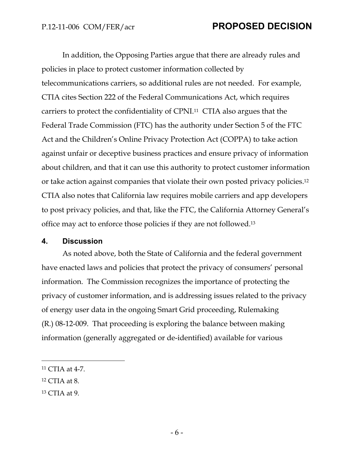In addition, the Opposing Parties argue that there are already rules and policies in place to protect customer information collected by telecommunications carriers, so additional rules are not needed. For example, CTIA cites Section 222 of the Federal Communications Act, which requires carriers to protect the confidentiality of CPNI.11 CTIA also argues that the Federal Trade Commission (FTC) has the authority under Section 5 of the FTC Act and the Children's Online Privacy Protection Act (COPPA) to take action against unfair or deceptive business practices and ensure privacy of information about children, and that it can use this authority to protect customer information or take action against companies that violate their own posted privacy policies.12 CTIA also notes that California law requires mobile carriers and app developers to post privacy policies, and that, like the FTC, the California Attorney General's office may act to enforce those policies if they are not followed.13

#### **4. Discussion**

As noted above, both the State of California and the federal government have enacted laws and policies that protect the privacy of consumers' personal information. The Commission recognizes the importance of protecting the privacy of customer information, and is addressing issues related to the privacy of energy user data in the ongoing Smart Grid proceeding, Rulemaking (R.) 08-12-009. That proceeding is exploring the balance between making information (generally aggregated or de-identified) available for various

12 CTIA at 8.

 $\overline{a}$ 

13 CTIA at 9.

<sup>11</sup> CTIA at 4-7.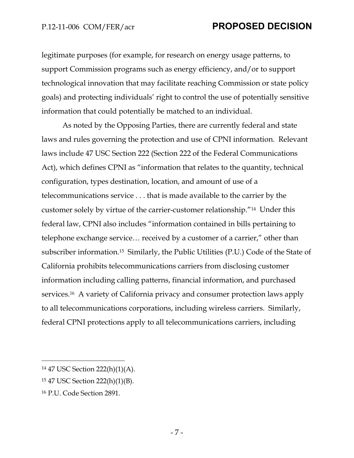legitimate purposes (for example, for research on energy usage patterns, to support Commission programs such as energy efficiency, and/or to support technological innovation that may facilitate reaching Commission or state policy goals) and protecting individuals' right to control the use of potentially sensitive information that could potentially be matched to an individual.

As noted by the Opposing Parties, there are currently federal and state laws and rules governing the protection and use of CPNI information. Relevant laws include 47 USC Section 222 (Section 222 of the Federal Communications Act), which defines CPNI as "information that relates to the quantity, technical configuration, types destination, location, and amount of use of a telecommunications service . . . that is made available to the carrier by the customer solely by virtue of the carrier-customer relationship."14 Under this federal law, CPNI also includes "information contained in bills pertaining to telephone exchange service… received by a customer of a carrier," other than subscriber information.15 Similarly, the Public Utilities (P.U.) Code of the State of California prohibits telecommunications carriers from disclosing customer information including calling patterns, financial information, and purchased services.16 A variety of California privacy and consumer protection laws apply to all telecommunications corporations, including wireless carriers. Similarly, federal CPNI protections apply to all telecommunications carriers, including

16 P.U. Code Section 2891.

-

<sup>14 47</sup> USC Section 222(h)(1)(A).

<sup>15 47</sup> USC Section 222(h)(1)(B).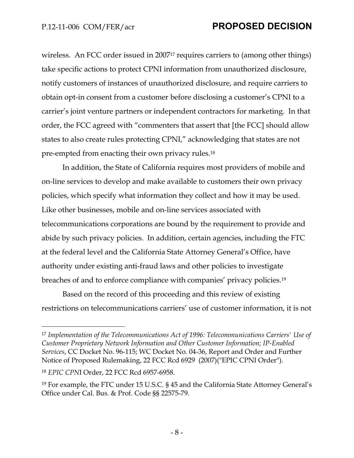wireless. An FCC order issued in 2007<sup>17</sup> requires carriers to (among other things) take specific actions to protect CPNI information from unauthorized disclosure, notify customers of instances of unauthorized disclosure, and require carriers to obtain opt-in consent from a customer before disclosing a customer's CPNI to a carrier's joint venture partners or independent contractors for marketing. In that order, the FCC agreed with "commenters that assert that [the FCC] should allow states to also create rules protecting CPNI," acknowledging that states are not pre-empted from enacting their own privacy rules.18

In addition, the State of California requires most providers of mobile and on-line services to develop and make available to customers their own privacy policies, which specify what information they collect and how it may be used. Like other businesses, mobile and on-line services associated with telecommunications corporations are bound by the requirement to provide and abide by such privacy policies. In addition, certain agencies, including the FTC at the federal level and the California State Attorney General's Office, have authority under existing anti-fraud laws and other policies to investigate breaches of and to enforce compliance with companies' privacy policies.19

Based on the record of this proceeding and this review of existing restrictions on telecommunications carriers' use of customer information, it is not

-

<sup>17</sup> *Implementation of the Telecommunications Act of 1996: Telecommunications Carriers' Use of Customer Proprietary Network Information and Other Customer Information; IP-Enabled Services*, CC Docket No. 96-115; WC Docket No. 04-36, Report and Order and Further Notice of Proposed Rulemaking, 22 FCC Rcd 6929 (2007)("EPIC CPNI Order").

<sup>18</sup> *EPIC CPN*I Order, 22 FCC Rcd 6957-6958.

<sup>19</sup> For example, the FTC under 15 U.S.C. § 45 and the California State Attorney General's Office under Cal. Bus. & Prof. Code §§ 22575-79.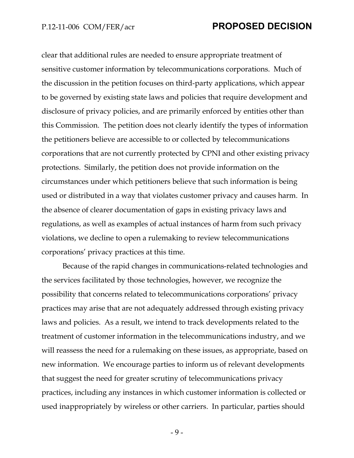clear that additional rules are needed to ensure appropriate treatment of sensitive customer information by telecommunications corporations. Much of the discussion in the petition focuses on third-party applications, which appear to be governed by existing state laws and policies that require development and disclosure of privacy policies, and are primarily enforced by entities other than this Commission. The petition does not clearly identify the types of information the petitioners believe are accessible to or collected by telecommunications corporations that are not currently protected by CPNI and other existing privacy protections. Similarly, the petition does not provide information on the circumstances under which petitioners believe that such information is being used or distributed in a way that violates customer privacy and causes harm. In the absence of clearer documentation of gaps in existing privacy laws and regulations, as well as examples of actual instances of harm from such privacy violations, we decline to open a rulemaking to review telecommunications corporations' privacy practices at this time.

Because of the rapid changes in communications-related technologies and the services facilitated by those technologies, however, we recognize the possibility that concerns related to telecommunications corporations' privacy practices may arise that are not adequately addressed through existing privacy laws and policies. As a result, we intend to track developments related to the treatment of customer information in the telecommunications industry, and we will reassess the need for a rulemaking on these issues, as appropriate, based on new information. We encourage parties to inform us of relevant developments that suggest the need for greater scrutiny of telecommunications privacy practices, including any instances in which customer information is collected or used inappropriately by wireless or other carriers. In particular, parties should

- 9 -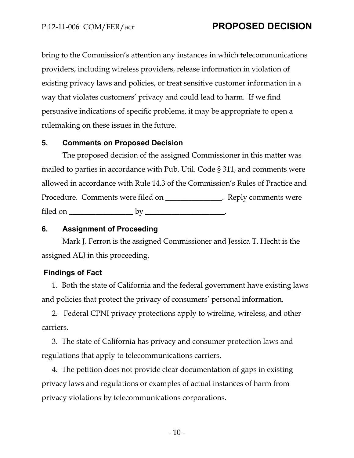bring to the Commission's attention any instances in which telecommunications providers, including wireless providers, release information in violation of existing privacy laws and policies, or treat sensitive customer information in a way that violates customers' privacy and could lead to harm. If we find persuasive indications of specific problems, it may be appropriate to open a rulemaking on these issues in the future.

#### **5. Comments on Proposed Decision**

The proposed decision of the assigned Commissioner in this matter was mailed to parties in accordance with Pub. Util. Code § 311, and comments were allowed in accordance with Rule 14.3 of the Commission's Rules of Practice and Procedure. Comments were filed on \_\_\_\_\_\_\_\_\_\_\_\_\_\_. Reply comments were filed on  $\_\_\_\_\_\_\_\_\_\_\_\_\_$ 

### **6. Assignment of Proceeding**

Mark J. Ferron is the assigned Commissioner and Jessica T. Hecht is the assigned ALJ in this proceeding.

### **Findings of Fact**

1. Both the state of California and the federal government have existing laws and policies that protect the privacy of consumers' personal information.

2. Federal CPNI privacy protections apply to wireline, wireless, and other carriers.

3. The state of California has privacy and consumer protection laws and regulations that apply to telecommunications carriers.

4. The petition does not provide clear documentation of gaps in existing privacy laws and regulations or examples of actual instances of harm from privacy violations by telecommunications corporations.